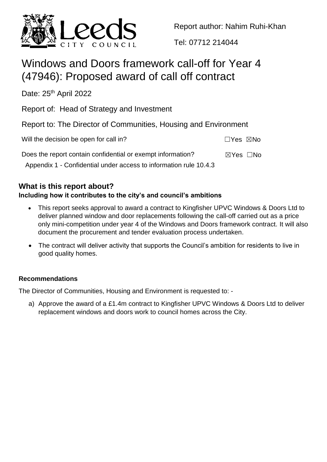

Report author: Nahim Ruhi-Khan

Tel: 07712 214044

# Windows and Doors framework call-off for Year 4 (47946): Proposed award of call off contract

Date: 25<sup>th</sup> April 2022

Report of: Head of Strategy and Investment

Report to: The Director of Communities, Housing and Environment

| Will the decision be open for call in?                            | □Yes ⊠No                  |  |
|-------------------------------------------------------------------|---------------------------|--|
| Does the report contain confidential or exempt information?       | $\boxtimes$ Yes $\Box$ No |  |
| Appendix 1 - Confidential under access to information rule 10.4.3 |                           |  |

## **What is this report about?**

## **Including how it contributes to the city's and council's ambitions**

- This report seeks approval to award a contract to Kingfisher UPVC Windows & Doors Ltd to deliver planned window and door replacements following the call-off carried out as a price only mini-competition under year 4 of the Windows and Doors framework contract. It will also document the procurement and tender evaluation process undertaken.
- The contract will deliver activity that supports the Council's ambition for residents to live in good quality homes.

## **Recommendations**

The Director of Communities, Housing and Environment is requested to: -

a) Approve the award of a £1.4m contract to Kingfisher UPVC Windows & Doors Ltd to deliver replacement windows and doors work to council homes across the City.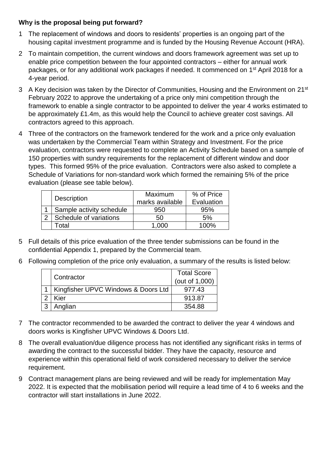### **Why is the proposal being put forward?**

- 1 The replacement of windows and doors to residents' properties is an ongoing part of the housing capital investment programme and is funded by the Housing Revenue Account (HRA).
- 2 To maintain competition, the current windows and doors framework agreement was set up to enable price competition between the four appointed contractors – either for annual work packages, or for any additional work packages if needed. It commenced on 1<sup>st</sup> April 2018 for a 4-year period.
- 3 A Key decision was taken by the Director of Communities, Housing and the Environment on 21<sup>st</sup> February 2022 to approve the undertaking of a price only mini competition through the framework to enable a single contractor to be appointed to deliver the year 4 works estimated to be approximately £1.4m, as this would help the Council to achieve greater cost savings. All contractors agreed to this approach.
- 4 Three of the contractors on the framework tendered for the work and a price only evaluation was undertaken by the Commercial Team within Strategy and Investment. For the price evaluation, contractors were requested to complete an Activity Schedule based on a sample of 150 properties with sundry requirements for the replacement of different window and door types. This formed 95% of the price evaluation. Contractors were also asked to complete a Schedule of Variations for non-standard work which formed the remaining 5% of the price evaluation (please see table below).

|                          | Maximum         | % of Price      |
|--------------------------|-----------------|-----------------|
| <b>Description</b>       | marks available | Evaluation      |
| Sample activity schedule | 950             | 95%             |
| Schedule of variations   | 50              | 5%              |
| ั∩tal                    | റററ             | <u>. ባሀል - </u> |

- 5 Full details of this price evaluation of the three tender submissions can be found in the confidential Appendix 1, prepared by the Commercial team.
- 6 Following completion of the price only evaluation, a summary of the results is listed below:

|                                         | <b>Total Score</b> |
|-----------------------------------------|--------------------|
| Contractor                              | (out of 1,000)     |
| 1   Kingfisher UPVC Windows & Doors Ltd | 977.43             |
| Kier                                    | 913.87             |
| Anglian                                 | 354.88             |

- 7 The contractor recommended to be awarded the contract to deliver the year 4 windows and doors works is Kingfisher UPVC Windows & Doors Ltd.
- 8 The overall evaluation/due diligence process has not identified any significant risks in terms of awarding the contract to the successful bidder. They have the capacity, resource and experience within this operational field of work considered necessary to deliver the service requirement.
- 9 Contract management plans are being reviewed and will be ready for implementation May 2022. It is expected that the mobilisation period will require a lead time of 4 to 6 weeks and the contractor will start installations in June 2022.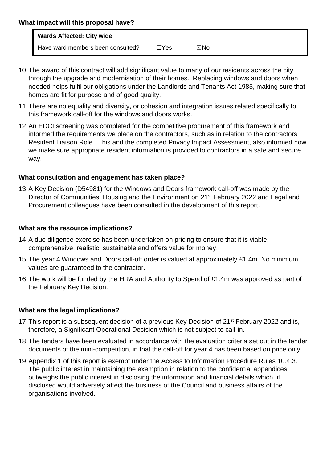#### **What impact will this proposal have?**

| <b>Wards Affected: City wide</b>  |            |     |
|-----------------------------------|------------|-----|
| Have ward members been consulted? | $\Box$ Yes | ⊠No |

- 10 The award of this contract will add significant value to many of our residents across the city through the upgrade and modernisation of their homes. Replacing windows and doors when needed helps fulfil our obligations under the Landlords and Tenants Act 1985, making sure that homes are fit for purpose and of good quality.
- 11 There are no equality and diversity, or cohesion and integration issues related specifically to this framework call-off for the windows and doors works.
- 12 An EDCI screening was completed for the competitive procurement of this framework and informed the requirements we place on the contractors, such as in relation to the contractors Resident Liaison Role. This and the completed Privacy Impact Assessment, also informed how we make sure appropriate resident information is provided to contractors in a safe and secure way.

#### **What consultation and engagement has taken place?**

13 A Key Decision (D54981) for the Windows and Doors framework call-off was made by the Director of Communities, Housing and the Environment on 21<sup>st</sup> February 2022 and Legal and Procurement colleagues have been consulted in the development of this report.

#### **What are the resource implications?**

- 14 A due diligence exercise has been undertaken on pricing to ensure that it is viable, comprehensive, realistic, sustainable and offers value for money.
- 15 The year 4 Windows and Doors call-off order is valued at approximately £1.4m. No minimum values are guaranteed to the contractor.
- 16 The work will be funded by the HRA and Authority to Spend of £1.4m was approved as part of the February Key Decision.

### **What are the legal implications?**

- 17 This report is a subsequent decision of a previous Key Decision of 21<sup>st</sup> February 2022 and is, therefore, a Significant Operational Decision which is not subject to call-in.
- 18 The tenders have been evaluated in accordance with the evaluation criteria set out in the tender documents of the mini-competition, in that the call-off for year 4 has been based on price only.
- 19 Appendix 1 of this report is exempt under the Access to Information Procedure Rules 10.4.3. The public interest in maintaining the exemption in relation to the confidential appendices outweighs the public interest in disclosing the information and financial details which, if disclosed would adversely affect the business of the Council and business affairs of the organisations involved.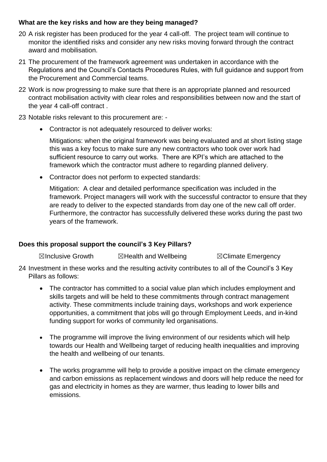#### **What are the key risks and how are they being managed?**

- 20 A risk register has been produced for the year 4 call-off. The project team will continue to monitor the identified risks and consider any new risks moving forward through the contract award and mobilisation.
- 21 The procurement of the framework agreement was undertaken in accordance with the Regulations and the Council's Contacts Procedures Rules, with full guidance and support from the Procurement and Commercial teams.
- 22 Work is now progressing to make sure that there is an appropriate planned and resourced contract mobilisation activity with clear roles and responsibilities between now and the start of the year 4 call-off contract .
- 23 Notable risks relevant to this procurement are:
	- Contractor is not adequately resourced to deliver works:

Mitigations: when the original framework was being evaluated and at short listing stage this was a key focus to make sure any new contractors who took over work had sufficient resource to carry out works. There are KPI's which are attached to the framework which the contractor must adhere to regarding planned delivery.

Contractor does not perform to expected standards:

Mitigation: A clear and detailed performance specification was included in the framework. Project managers will work with the successful contractor to ensure that they are ready to deliver to the expected standards from day one of the new call off order. Furthermore, the contractor has successfully delivered these works during the past two years of the framework.

### **Does this proposal support the council's 3 Key Pillars?**

☒Inclusive Growth ☒Health and Wellbeing ☒Climate Emergency

- 24 Investment in these works and the resulting activity contributes to all of the Council's 3 Key Pillars as follows:
	- The contractor has committed to a social value plan which includes employment and skills targets and will be held to these commitments through contract management activity. These commitments include training days, workshops and work experience opportunities, a commitment that jobs will go through Employment Leeds, and in-kind funding support for works of community led organisations.
	- The programme will improve the living environment of our residents which will help towards our Health and Wellbeing target of reducing health inequalities and improving the health and wellbeing of our tenants.
	- The works programme will help to provide a positive impact on the climate emergency and carbon emissions as replacement windows and doors will help reduce the need for gas and electricity in homes as they are warmer, thus leading to lower bills and emissions.